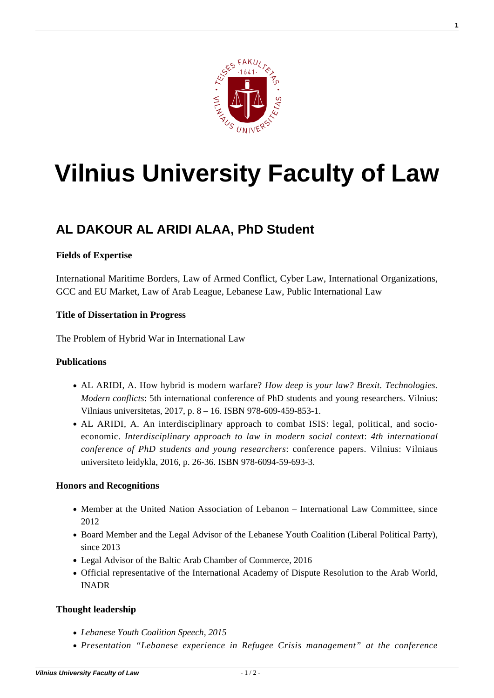

**1**

# **[Vilnius University Faculty of Law](https://www.tf.vu.lt/)**

## **[AL DAKOUR AL ARIDI ALAA, PhD Student](https://www.tf.vu.lt/about_us/science-centers/science-center-of-criminal-policy-and-european-union-criminal-law/al-dakour-al-aridi-alaa-phd-student/)**

### **Fields of Expertise**

International Maritime Borders, Law of Armed Conflict, Cyber Law, International Organizations, GCC and EU Market, Law of Arab League, Lebanese Law, Public International Law

#### **Title of Dissertation in Progress**

The Problem of Hybrid War in International Law

#### **Publications**

- [AL ARIDI, A. How hybrid is modern warfare?](http://lawphd.net/wp-content/uploads/2014/09/International-Conference-of-PhD-students-and-young-researchers-2017.pdf) *[How deep is your law? Brexit. Technologies.](http://lawphd.net/wp-content/uploads/2014/09/International-Conference-of-PhD-students-and-young-researchers-2017.pdf) [Modern conflicts](http://lawphd.net/wp-content/uploads/2014/09/International-Conference-of-PhD-students-and-young-researchers-2017.pdf)*[: 5th international conference of PhD students and young researchers. Vilnius:](http://lawphd.net/wp-content/uploads/2014/09/International-Conference-of-PhD-students-and-young-researchers-2017.pdf) [Vilniaus universitetas, 2017, p. 8 – 16. ISBN 978-609-459-853-1.](http://lawphd.net/wp-content/uploads/2014/09/International-Conference-of-PhD-students-and-young-researchers-2017.pdf)
- [AL ARIDI, A. An interdisciplinary approach to combat ISIS: legal, political, and socio](http://lawphd.net/wp-content/uploads/2014/09/International-conference-of-PhD-students-and-young-researchers-2016.pdf)[economic.](http://lawphd.net/wp-content/uploads/2014/09/International-conference-of-PhD-students-and-young-researchers-2016.pdf) *[Interdisciplinary approach to law in modern social contex](http://lawphd.net/wp-content/uploads/2014/09/International-conference-of-PhD-students-and-young-researchers-2016.pdf)*[t:](http://lawphd.net/wp-content/uploads/2014/09/International-conference-of-PhD-students-and-young-researchers-2016.pdf) *[4th international](http://lawphd.net/wp-content/uploads/2014/09/International-conference-of-PhD-students-and-young-researchers-2016.pdf) [conference of PhD students and young researchers](http://lawphd.net/wp-content/uploads/2014/09/International-conference-of-PhD-students-and-young-researchers-2016.pdf)*[: conference papers. Vilnius: Vilniaus](http://lawphd.net/wp-content/uploads/2014/09/International-conference-of-PhD-students-and-young-researchers-2016.pdf) [universiteto leidykla, 2016, p. 26-36. ISBN 978-6094-59-693-3.](http://lawphd.net/wp-content/uploads/2014/09/International-conference-of-PhD-students-and-young-researchers-2016.pdf)

#### **Honors and Recognitions**

- Member at the United Nation Association of Lebanon International Law Committee, since 2012
- Board Member and the Legal Advisor of the Lebanese Youth Coalition (Liberal Political Party), since 2013
- Legal Advisor of the Baltic Arab Chamber of Commerce, 2016
- Official representative of the International Academy of Dispute Resolution to the Arab World, INADR

#### **Thought leadership**

- *[Lebanese Youth Coalition Speech, 2015](https://www.youtube.com/watch?v=__QnVMCC14w)*
- *[Presentation "Lebanese experience in Refugee Crisis management" at the conference](https://www.facebook.com/pg/elsa.lithuania/photos/?tab=album&album_id=918544011557715)*